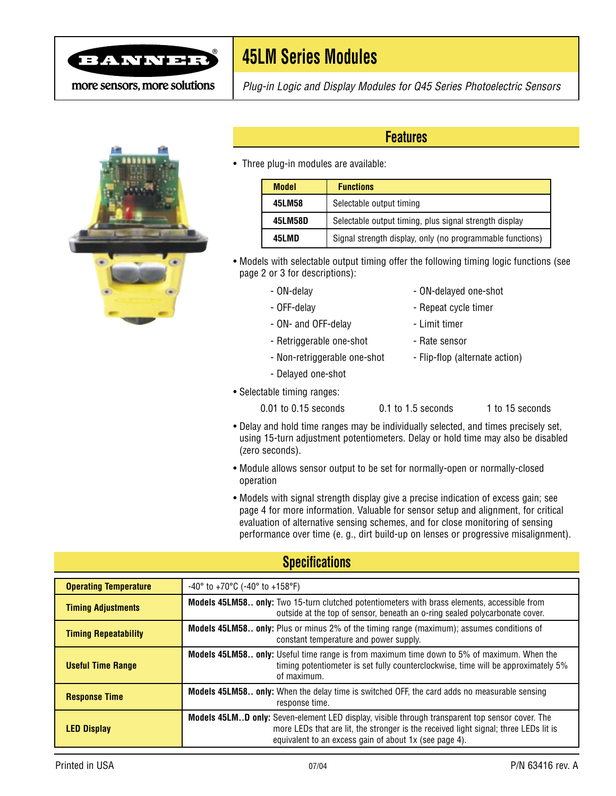

# **45LM Series Modules**

more sensors, more solutions



Plug-in Logic and Display Modules for Q45 Series Photoelectric Sensors

### **Features**

• Three plug-in modules are available:

| <b>Model</b> | <b>Functions</b>                                          |
|--------------|-----------------------------------------------------------|
| 45LM58       | Selectable output timing                                  |
| 45LM58D      | Selectable output timing, plus signal strength display    |
| 45LMD        | Signal strength display, only (no programmable functions) |

- Models with selectable output timing offer the following timing logic functions (see page 2 or 3 for descriptions):
	-
	- ON-delay contract one-shot contract one-shot
	- OFF-delay  **Repeat cycle timer**
	- ON- and OFF-delay  **Limit timer**
	- Retriggerable one-shot Rate sensor
	- Non-retriggerable one-shot Flip-flop (alternate action)
	- Delayed one-shot
- Selectable timing ranges:
	- 0.01 to 0.15 seconds 0.1 to 1.5 seconds 1 to 15 seconds
- Delay and hold time ranges may be individually selected, and times precisely set, using 15-turn adjustment potentiometers. Delay or hold time may also be disabled (zero seconds).
- Module allows sensor output to be set for normally-open or normally-closed operation
- Models with signal strength display give a precise indication of excess gain; see page 4 for more information. Valuable for sensor setup and alignment, for critical evaluation of alternative sensing schemes, and for close monitoring of sensing performance over time (e. g., dirt build-up on lenses or progressive misalignment).

### **Specifications**

| <b>Operating Temperature</b> | $-40^{\circ}$ to $+70^{\circ}$ C ( $-40^{\circ}$ to $+158^{\circ}$ F)                                                                                                                                                                             |  |  |  |
|------------------------------|---------------------------------------------------------------------------------------------------------------------------------------------------------------------------------------------------------------------------------------------------|--|--|--|
| <b>Timing Adjustments</b>    | <b>Models 45LM58 only:</b> Two 15-turn clutched potentiometers with brass elements, accessible from<br>outside at the top of sensor, beneath an o-ring sealed polycarbonate cover.                                                                |  |  |  |
| <b>Timing Repeatability</b>  | Models 45LM58 only: Plus or minus 2% of the timing range (maximum); assumes conditions of<br>constant temperature and power supply.                                                                                                               |  |  |  |
| <b>Useful Time Range</b>     | <b>Models 45LM58 only:</b> Useful time range is from maximum time down to 5% of maximum. When the<br>timing potentiometer is set fully counterclockwise, time will be approximately 5%<br>of maximum.                                             |  |  |  |
| <b>Response Time</b>         | <b>Models 45LM58 only:</b> When the delay time is switched OFF, the card adds no measurable sensing<br>response time.                                                                                                                             |  |  |  |
| <b>LED Display</b>           | Models 45LMD only: Seven-element LED display, visible through transparent top sensor cover. The<br>more LEDs that are lit, the stronger is the received light signal; three LEDs lit is<br>equivalent to an excess gain of about 1x (see page 4). |  |  |  |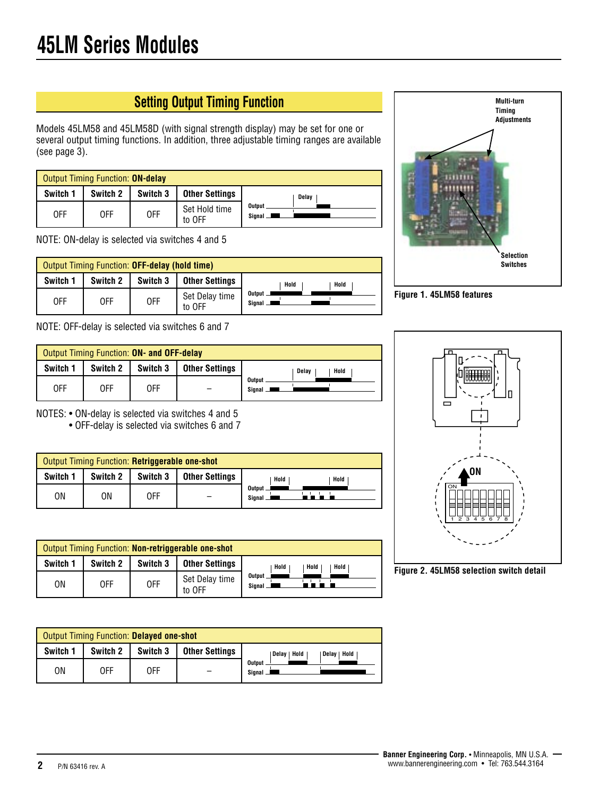## **Setting Output Timing Function**

Models 45LM58 and 45LM58D (with signal strength display) may be set for one or several output timing functions. In addition, three adjustable timing ranges are available (see page 3).

| <b>Output Timing Function: ON-delay</b> |          |          |                         |                  |  |  |  |
|-----------------------------------------|----------|----------|-------------------------|------------------|--|--|--|
| Switch 1                                | Switch 2 | Switch 3 | <b>Other Settings</b>   | Delay            |  |  |  |
| 0FF                                     | 0FF      | 0FF      | Set Hold time<br>to OFF | Output<br>Sianal |  |  |  |

NOTE: ON-delay is selected via switches 4 and 5

| Output Timing Function: OFF-delay (hold time) |          |          |                          |                           |  |  |  |
|-----------------------------------------------|----------|----------|--------------------------|---------------------------|--|--|--|
| Switch 1                                      | Switch 2 | Switch 3 | <b>Other Settings</b>    | Hold<br>Hold              |  |  |  |
| 0FF                                           | 0FF      | 0FF      | Set Delay time<br>to OFF | <b>Output</b><br>Signal — |  |  |  |

NOTE: OFF-delay is selected via switches 6 and 7

| Output Timing Function: ON- and OFF-delay |            |          |                       |                  |  |  |  |
|-------------------------------------------|------------|----------|-----------------------|------------------|--|--|--|
| Switch 1                                  | Switch 2   | Switch 3 | <b>Other Settings</b> | Hold<br>Delav    |  |  |  |
| 0FF                                       | <b>OFF</b> | 0FF      |                       | Output<br>Sianal |  |  |  |

NOTES: • ON-delay is selected via switches 4 and 5

• OFF-delay is selected via switches 6 and 7

| Output Timing Function: Retriggerable one-shot |          |          |                       |                  |  |  |  |
|------------------------------------------------|----------|----------|-----------------------|------------------|--|--|--|
| Switch 1                                       | Switch 2 | Switch 3 | <b>Other Settings</b> | Hold<br>Hold     |  |  |  |
| ΟN                                             | ΟN       | 0FF      |                       | Output<br>Sianal |  |  |  |

| Output Timing Function: Non-retriggerable one-shot |          |          |                          |                           |  |  |  |
|----------------------------------------------------|----------|----------|--------------------------|---------------------------|--|--|--|
| Switch 1                                           | Switch 2 | Switch 3 | <b>Other Settings</b>    | Hold<br>Hold<br>Hold      |  |  |  |
| ΟN                                                 | 0FF      | 0FF      | Set Delay time<br>to OFF | <b>Output</b><br>Signal _ |  |  |  |

| Output Timing Function: Delayed one-shot |          |          |                       |                               |  |  |  |
|------------------------------------------|----------|----------|-----------------------|-------------------------------|--|--|--|
| Switch 1                                 | Switch 2 | Switch 3 | <b>Other Settings</b> | Hold<br>Delay   Hold<br>Delav |  |  |  |
| ΟN                                       | 0FF      | 0FF      |                       | <b>Output</b><br>Signal —     |  |  |  |



**Figure 1. 45LM58 features**



**Figure 2. 45LM58 selection switch detail**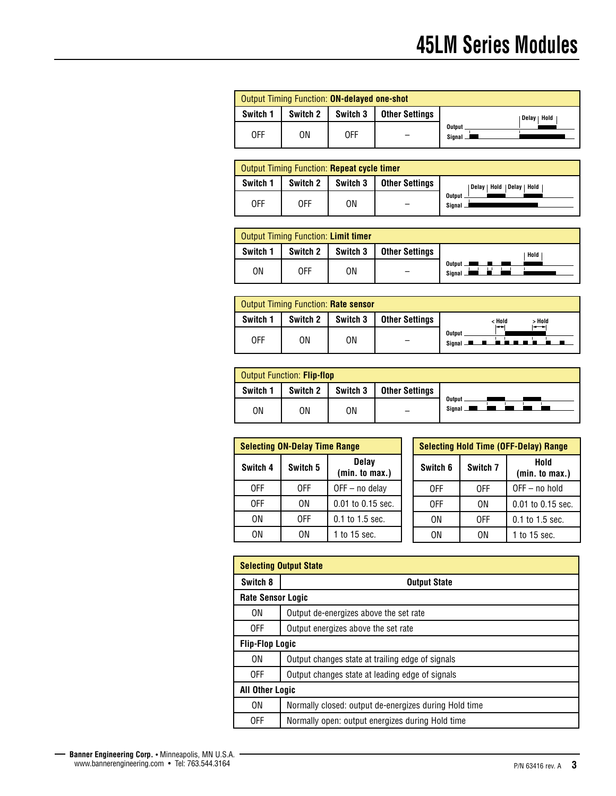| Output Timing Function: ON-delayed one-shot |          |          |                       |                    |  |  |  |  |
|---------------------------------------------|----------|----------|-----------------------|--------------------|--|--|--|--|
| Switch 1                                    | Switch 2 | Switch 3 | <b>Other Settings</b> | Hold<br>Delav      |  |  |  |  |
| 0FF                                         | ΟN       | 0FF      |                       | Output<br>Signal _ |  |  |  |  |

|          | <b>Output Timing Function: Repeat cycle timer</b> |          |                       |                                |  |  |  |  |  |
|----------|---------------------------------------------------|----------|-----------------------|--------------------------------|--|--|--|--|--|
| Switch 1 | Switch 2                                          | Switch 3 | <b>Other Settings</b> | Hold   Delay   Hold<br>Delav I |  |  |  |  |  |
| 0FF      | 0FF                                               | ΟN       |                       | Output<br>Sianal               |  |  |  |  |  |

| Output Timing Function: Limit timer |            |          |                |                                            |  |  |  |
|-------------------------------------|------------|----------|----------------|--------------------------------------------|--|--|--|
| Switch 1                            | Switch 2   | Switch 3 | Other Settings | Hold                                       |  |  |  |
| ΟN                                  | <b>OFF</b> | ΟN       |                | Output $\blacksquare$<br>$S$ ianal $\perp$ |  |  |  |

|          | <b>Output Timing Function: Rate sensor</b> |          |                       |                                            |  |  |  |  |  |
|----------|--------------------------------------------|----------|-----------------------|--------------------------------------------|--|--|--|--|--|
| Switch 1 | Switch 2                                   | Switch 3 | <b>Other Settings</b> | < Hold<br>> Hold                           |  |  |  |  |  |
| 0FF      | ΟN                                         | ΟN       |                       | Output<br><u>.</u><br>Signal <b>Letter</b> |  |  |  |  |  |

| Output Function: Flip-flop |          |          |                       |                    |
|----------------------------|----------|----------|-----------------------|--------------------|
| Switch 1                   | Switch 2 | Switch 3 | <b>Other Settings</b> |                    |
| ΟN                         | ΟN       | ΟN       |                       | Output<br>Sianal — |

| <b>Selecting ON-Delay Time Range</b> |          |                                |  | <b>Selecting Hold Time (</b> |          |  |
|--------------------------------------|----------|--------------------------------|--|------------------------------|----------|--|
| Switch 4                             | Switch 5 | <b>Delay</b><br>(min. to max.) |  | Switch 6                     | Switch 7 |  |
| 0FF                                  | 0FF      | $OFF - no$ delay               |  | 0FF                          | 0FF      |  |
| 0FF                                  | ΟN       | $0.01$ to $0.15$ sec.          |  | 0FF                          | ΟN       |  |
| ΟN                                   | 0FF      | $0.1$ to 1.5 sec.              |  | 0N                           | 0FF      |  |
| ΟN                                   | ΟN       | 1 to 15 sec.                   |  | ΩN                           | ΟN       |  |

|          | <b>Selecting Hold Time (OFF-Delay) Range</b> |                        |  |  |  |
|----------|----------------------------------------------|------------------------|--|--|--|
| Switch 6 | Switch 7                                     | Hold<br>(min. to max.) |  |  |  |
| 0FF      | 0FF                                          | OFF - no hold          |  |  |  |
| 0FF      | ΟN                                           | 0.01 to 0.15 sec.      |  |  |  |
| ΟN       | 0FF                                          | 0.1 to 1.5 sec.        |  |  |  |
| ΩN       | ΩN                                           | 1 to 15 sec.           |  |  |  |

| <b>Selecting Output State</b> |                                                       |  |  |  |
|-------------------------------|-------------------------------------------------------|--|--|--|
| Switch 8                      | <b>Output State</b>                                   |  |  |  |
| <b>Rate Sensor Logic</b>      |                                                       |  |  |  |
| 0N                            | Output de-energizes above the set rate                |  |  |  |
| 0FF                           | Output energizes above the set rate                   |  |  |  |
|                               | <b>Flip-Flop Logic</b>                                |  |  |  |
| 0N                            | Output changes state at trailing edge of signals      |  |  |  |
| 0FF                           | Output changes state at leading edge of signals       |  |  |  |
| <b>All Other Logic</b>        |                                                       |  |  |  |
| 0N                            | Normally closed: output de-energizes during Hold time |  |  |  |
| 0FF                           | Normally open: output energizes during Hold time      |  |  |  |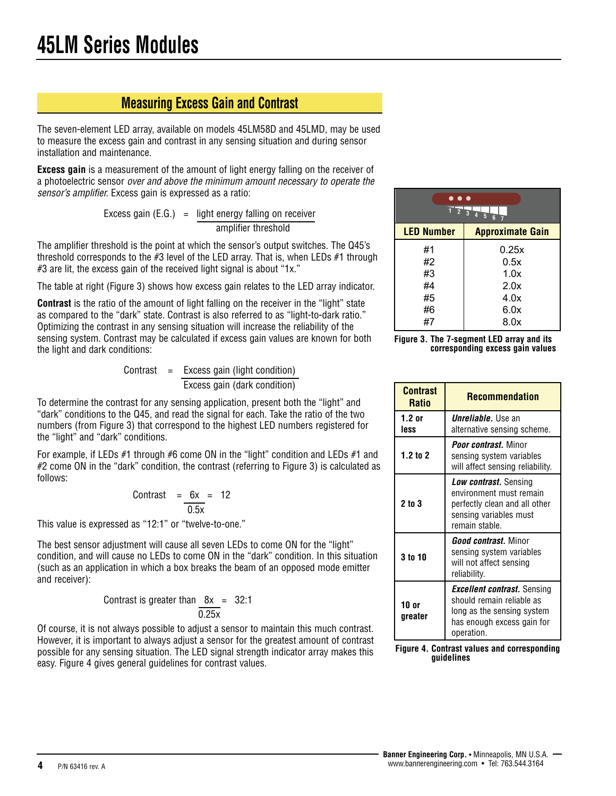### **Measuring Excess Gain and Contrast**

The seven-element LED array, available on models 45LM58D and 45LMD, may be used to measure the excess gain and contrast in any sensing situation and during sensor installation and maintenance.

**Excess gain** is a measurement of the amount of light energy falling on the receiver of a photoelectric sensor over and above the minimum amount necessary to operate the sensor's amplifier. Excess gain is expressed as a ratio:

> Excess gain  $(E.G.)$  = light energy falling on receiver amplifier threshold

The amplifier threshold is the point at which the sensor's output switches. The Q45's threshold corresponds to the #3 level of the LED array. That is, when LEDs #1 through #3 are lit, the excess gain of the received light signal is about "1x."

The table at right (Figure 3) shows how excess gain relates to the LED array indicator.

**Contrast** is the ratio of the amount of light falling on the receiver in the "light" state as compared to the "dark" state. Contrast is also referred to as "light-to-dark ratio." Optimizing the contrast in any sensing situation will increase the reliability of the sensing system. Contrast may be calculated if excess gain values are known for both the light and dark conditions:

Contrast = 
$$
Excess gain (light condition)
$$

\nExcess gain (dark condition)

To determine the contrast for any sensing application, present both the "light" and "dark" conditions to the Q45, and read the signal for each. Take the ratio of the two numbers (from Figure 3) that correspond to the highest LED numbers registered for the "light" and "dark" conditions.

For example, if LEDs  $#1$  through  $#6$  come ON in the "light" condition and LEDs  $#1$  and #2 come ON in the "dark" condition, the contrast (referring to Figure 3) is calculated as follows:

$$
Contrast = \frac{6x}{0.5x} = 12
$$

This value is expressed as "12:1" or "twelve-to-one."

The best sensor adjustment will cause all seven LEDs to come ON for the "light" condition, and will cause no LEDs to come ON in the "dark" condition. In this situation (such as an application in which a box breaks the beam of an opposed mode emitter and receiver):

Contrast is greater than 
$$
\frac{8x}{0.25x} = 32:1
$$

Of course, it is not always possible to adjust a sensor to maintain this much contrast. However, it is important to always adjust a sensor for the greatest amount of contrast possible for any sensing situation. The LED signal strength indicator array makes this easy. Figure 4 gives general guidelines for contrast values.

| $\bullet\bullet\bullet$<br>$1\ 2\ 3\ 4\ 5$<br>$6\phantom{1}$ |                         |  |
|--------------------------------------------------------------|-------------------------|--|
| <b>LED Number</b>                                            | <b>Approximate Gain</b> |  |
| #1                                                           | 0.25x                   |  |
| #2                                                           | 0.5x                    |  |
| #3                                                           | 1.0x                    |  |
| #4                                                           | 2.0x                    |  |
| #5                                                           | 4.0x                    |  |
| #6                                                           | 6.0x                    |  |
| #7                                                           | 8.0x                    |  |



| <b>Contrast</b><br><b>Ratio</b> | <b>Recommendation</b>                                                                                                                            |
|---------------------------------|--------------------------------------------------------------------------------------------------------------------------------------------------|
| $1.2$ or<br>less                | <i>Unreliable</i> . Use an<br>alternative sensing scheme.                                                                                        |
| $1.2$ to 2                      | <b>Poor contrast.</b> Minor<br>sensing system variables<br>will affect sensing reliability.                                                      |
| 2 to 3                          | Low contrast. Sensing<br>environment must remain<br>perfectly clean and all other<br>sensing variables must<br>remain stable.                    |
| 3 to 10                         | <b><i>Good contrast.</i></b> Minor<br>sensing system variables<br>will not affect sensing<br>reliability.                                        |
| 10or<br>greater                 | <b><i>Excellent contrast.</i></b> Sensing<br>should remain reliable as<br>long as the sensing system<br>has enough excess gain for<br>operation. |

**Figure 4. Contrast values and corresponding guidelines**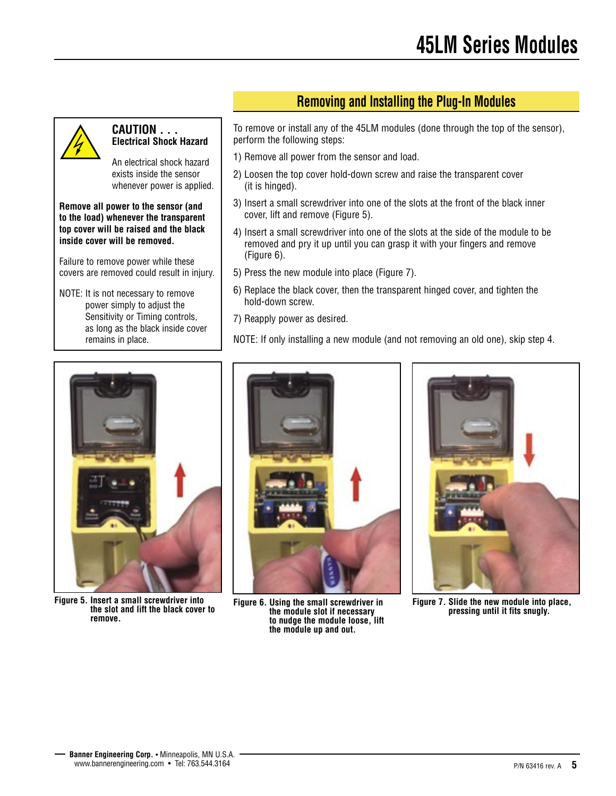

#### **CAUTION . . . Electrical Shock Hazard**

An electrical shock hazard exists inside the sensor whenever power is applied.

**Remove all power to the sensor (and to the load) whenever the transparent top cover will be raised and the black inside cover will be removed.**

Failure to remove power while these covers are removed could result in injury.

NOTE: It is not necessary to remove power simply to adjust the Sensitivity or Timing controls, as long as the black inside cover remains in place.

**Removing and Installing the Plug-In Modules**

To remove or install any of the 45LM modules (done through the top of the sensor), perform the following steps:

- 1) Remove all power from the sensor and load.
- 2) Loosen the top cover hold-down screw and raise the transparent cover (it is hinged).
- 3) Insert a small screwdriver into one of the slots at the front of the black inner cover, lift and remove (Figure 5).
- 4) Insert a small screwdriver into one of the slots at the side of the module to be removed and pry it up until you can grasp it with your fingers and remove (Figure 6).
- 5) Press the new module into place (Figure 7).
- 6) Replace the black cover, then the transparent hinged cover, and tighten the hold-down screw.
- 7) Reapply power as desired.

NOTE: If only installing a new module (and not removing an old one), skip step 4.



**Figure 5. Insert a small screwdriver into the slot and lift the black cover to remove.**



**Figure 6. Using the small screwdriver in the module slot if necessary to nudge the module loose, lift the module up and out.**



**Figure 7. Slide the new module into place, pressing until it fits snugly.**